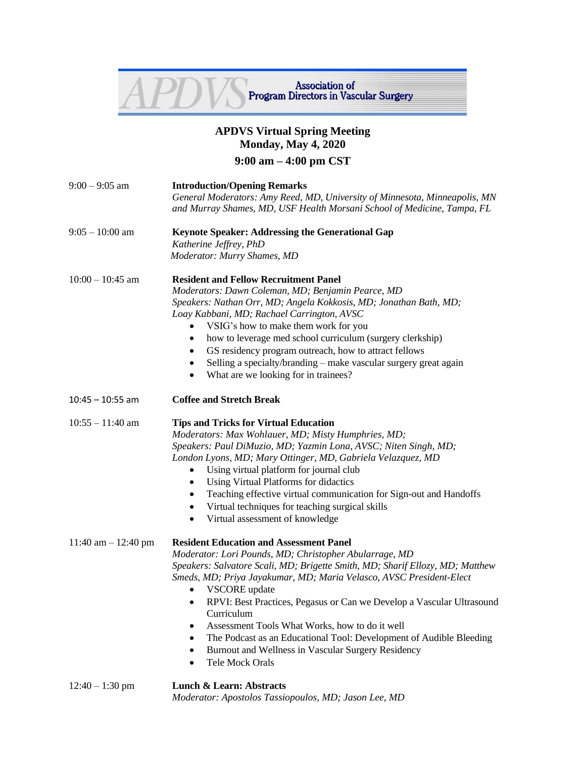

## **APDVS Virtual Spring Meeting Monday, May 4, 2020 9:00 am – 4:00 pm CST**

| $9:00 - 9:05$ am      | <b>Introduction/Opening Remarks</b><br>General Moderators: Amy Reed, MD, University of Minnesota, Minneapolis, MN<br>and Murray Shames, MD, USF Health Morsani School of Medicine, Tampa, FL                                                                                                                                                                                                                                                                                                                                                                                                                       |  |  |
|-----------------------|--------------------------------------------------------------------------------------------------------------------------------------------------------------------------------------------------------------------------------------------------------------------------------------------------------------------------------------------------------------------------------------------------------------------------------------------------------------------------------------------------------------------------------------------------------------------------------------------------------------------|--|--|
| $9:05 - 10:00$ am     | <b>Keynote Speaker: Addressing the Generational Gap</b><br>Katherine Jeffrey, PhD<br>Moderator: Murry Shames, MD                                                                                                                                                                                                                                                                                                                                                                                                                                                                                                   |  |  |
| $10:00 - 10:45$ am    | <b>Resident and Fellow Recruitment Panel</b><br>Moderators: Dawn Coleman, MD; Benjamin Pearce, MD<br>Speakers: Nathan Orr, MD; Angela Kokkosis, MD; Jonathan Bath, MD;<br>Loay Kabbani, MD; Rachael Carrington, AVSC<br>VSIG's how to make them work for you<br>how to leverage med school curriculum (surgery clerkship)<br>٠<br>GS residency program outreach, how to attract fellows<br>$\bullet$<br>Selling a specialty/branding – make vascular surgery great again<br>$\bullet$<br>What are we looking for in trainees?<br>$\bullet$                                                                         |  |  |
| $10:45 - 10:55$ am    | <b>Coffee and Stretch Break</b>                                                                                                                                                                                                                                                                                                                                                                                                                                                                                                                                                                                    |  |  |
| $10:55 - 11:40$ am    | <b>Tips and Tricks for Virtual Education</b><br>Moderators: Max Wohlauer, MD; Misty Humphries, MD;<br>Speakers: Paul DiMuzio, MD; Yazmin Lona, AVSC; Niten Singh, MD;<br>London Lyons, MD; Mary Ottinger, MD, Gabriela Velazquez, MD<br>Using virtual platform for journal club<br>$\bullet$<br>Using Virtual Platforms for didactics<br>$\bullet$<br>Teaching effective virtual communication for Sign-out and Handoffs<br>$\bullet$<br>Virtual techniques for teaching surgical skills<br>$\bullet$<br>Virtual assessment of knowledge<br>$\bullet$                                                              |  |  |
| 11:40 am $-$ 12:40 pm | <b>Resident Education and Assessment Panel</b><br>Moderator: Lori Pounds, MD; Christopher Abularrage, MD<br>Speakers: Salvatore Scali, MD; Brigette Smith, MD; Sharif Ellozy, MD; Matthew<br>Smeds, MD; Priya Jayakumar, MD; Maria Velasco, AVSC President-Elect<br><b>VSCORE</b> update<br>RPVI: Best Practices, Pegasus or Can we Develop a Vascular Ultrasound<br>Curriculum<br>Assessment Tools What Works, how to do it well<br>$\bullet$<br>The Podcast as an Educational Tool: Development of Audible Bleeding<br>Burnout and Wellness in Vascular Surgery Residency<br>$\bullet$<br><b>Tele Mock Orals</b> |  |  |
| $12:40 - 1:30$ pm     | <b>Lunch &amp; Learn: Abstracts</b>                                                                                                                                                                                                                                                                                                                                                                                                                                                                                                                                                                                |  |  |

*Moderator: Apostolos Tassiopoulos, MD; Jason Lee, MD*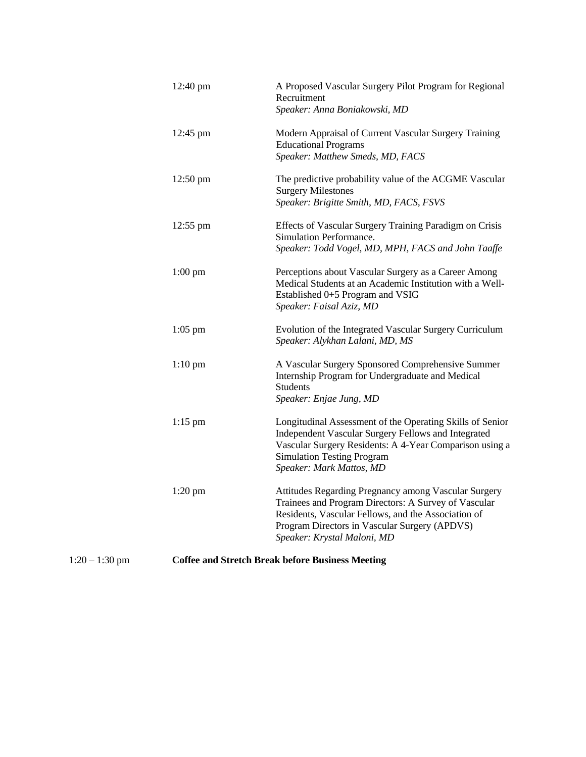|                  | 12:40 pm                                                | A Proposed Vascular Surgery Pilot Program for Regional<br>Recruitment                                                                                                                                                                               |  |
|------------------|---------------------------------------------------------|-----------------------------------------------------------------------------------------------------------------------------------------------------------------------------------------------------------------------------------------------------|--|
|                  | 12:45 pm                                                | Speaker: Anna Boniakowski, MD<br>Modern Appraisal of Current Vascular Surgery Training<br><b>Educational Programs</b><br>Speaker: Matthew Smeds, MD, FACS                                                                                           |  |
|                  | 12:50 pm                                                | The predictive probability value of the ACGME Vascular<br><b>Surgery Milestones</b><br>Speaker: Brigitte Smith, MD, FACS, FSVS                                                                                                                      |  |
|                  | 12:55 pm                                                | Effects of Vascular Surgery Training Paradigm on Crisis<br>Simulation Performance.<br>Speaker: Todd Vogel, MD, MPH, FACS and John Taaffe                                                                                                            |  |
|                  | $1:00$ pm                                               | Perceptions about Vascular Surgery as a Career Among<br>Medical Students at an Academic Institution with a Well-<br>Established 0+5 Program and VSIG<br>Speaker: Faisal Aziz, MD                                                                    |  |
|                  | $1:05$ pm                                               | Evolution of the Integrated Vascular Surgery Curriculum<br>Speaker: Alykhan Lalani, MD, MS                                                                                                                                                          |  |
|                  | $1:10 \text{ pm}$                                       | A Vascular Surgery Sponsored Comprehensive Summer<br>Internship Program for Undergraduate and Medical<br><b>Students</b><br>Speaker: Enjae Jung, MD                                                                                                 |  |
|                  | $1:15$ pm                                               | Longitudinal Assessment of the Operating Skills of Senior<br>Independent Vascular Surgery Fellows and Integrated<br>Vascular Surgery Residents: A 4-Year Comparison using a<br><b>Simulation Testing Program</b><br>Speaker: Mark Mattos, MD        |  |
|                  | $1:20$ pm                                               | Attitudes Regarding Pregnancy among Vascular Surgery<br>Trainees and Program Directors: A Survey of Vascular<br>Residents, Vascular Fellows, and the Association of<br>Program Directors in Vascular Surgery (APDVS)<br>Speaker: Krystal Maloni, MD |  |
| $1:20 - 1:30$ pm | <b>Coffee and Stretch Break before Business Meeting</b> |                                                                                                                                                                                                                                                     |  |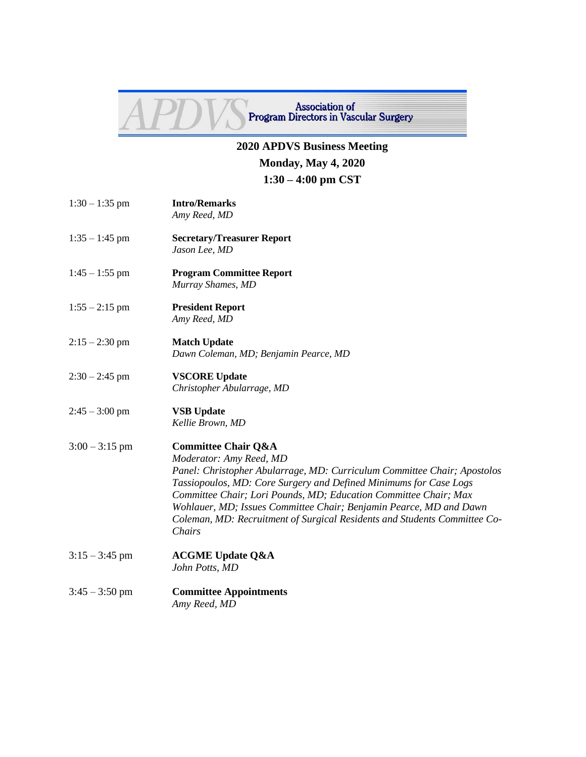

**Association of Program Directors in Vascular Surgery** 

## **2020 APDVS Business Meeting Monday, May 4, 2020 1:30 – 4:00 pm CST**

- 1:30 1:35 pm **Intro/Remarks** *Amy Reed, MD*
- 1:35 1:45 pm **Secretary/Treasurer Report** *Jason Lee, MD*
- 1:45 1:55 pm **Program Committee Report** *Murray Shames, MD*
- 1:55 2:15 pm **President Report** *Amy Reed, MD*
- 2:15 2:30 pm **Match Update** *Dawn Coleman, MD; Benjamin Pearce, MD*
- 2:30 2:45 pm **VSCORE Update** *Christopher Abularrage, MD*
- 2:45 3:00 pm **VSB Update** *Kellie Brown, MD*

## 3:00 – 3:15 pm **Committee Chair Q&A**

*Moderator: Amy Reed, MD Panel: Christopher Abularrage, MD: Curriculum Committee Chair; Apostolos Tassiopoulos, MD: Core Surgery and Defined Minimums for Case Logs Committee Chair; Lori Pounds, MD; Education Committee Chair; Max Wohlauer, MD; Issues Committee Chair; Benjamin Pearce, MD and Dawn Coleman, MD: Recruitment of Surgical Residents and Students Committee Co-Chairs*

- 3:15 3:45 pm **ACGME Update Q&A** *John Potts, MD*
- 3:45 3:50 pm **Committee Appointments** *Amy Reed, MD*